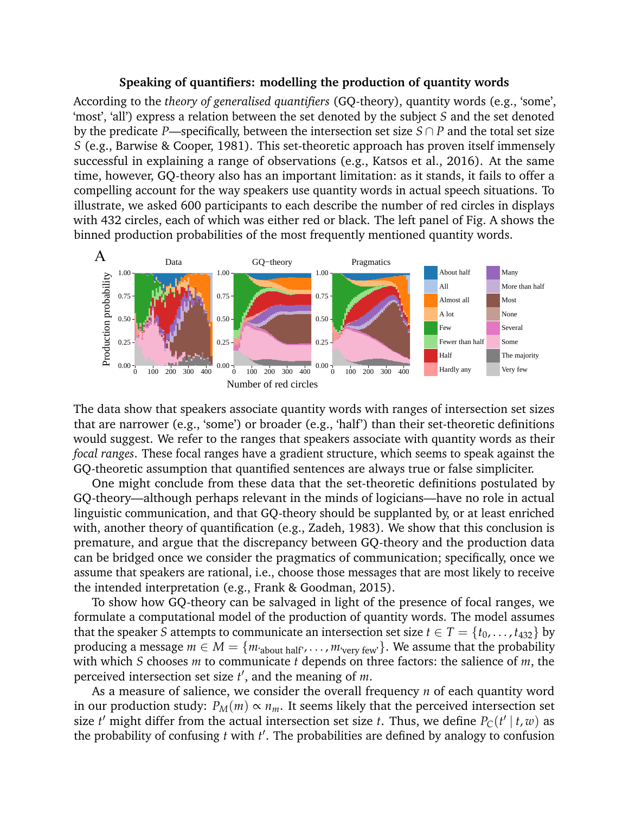## **Speaking of quantifiers: modelling the production of quantity words**

According to the *theory of generalised quantifiers* (GQ-theory), quantity words (e.g., 'some', 'most', 'all') express a relation between the set denoted by the subject *S* and the set denoted by the predicate *P*—specifically, between the intersection set size  $S \cap P$  and the total set size *S* (e.g., Barwise & Cooper, 1981). This set-theoretic approach has proven itself immensely successful in explaining a range of observations (e.g., Katsos et al., 2016). At the same time, however, GQ-theory also has an important limitation: as it stands, it fails to offer a compelling account for the way speakers use quantity words in actual speech situations. To illustrate, we asked 600 participants to each describe the number of red circles in displays with 432 circles, each of which was either red or black. The left panel of Fig. A shows the binned production probabilities of the most frequently mentioned quantity words.



The data show that speakers associate quantity words with ranges of intersection set sizes that are narrower (e.g., 'some') or broader (e.g., 'half') than their set-theoretic definitions would suggest. We refer to the ranges that speakers associate with quantity words as their *focal ranges*. These focal ranges have a gradient structure, which seems to speak against the GQ-theoretic assumption that quantified sentences are always true or false simpliciter.

One might conclude from these data that the set-theoretic definitions postulated by GQ-theory—although perhaps relevant in the minds of logicians—have no role in actual linguistic communication, and that GQ-theory should be supplanted by, or at least enriched with, another theory of quantification (e.g., Zadeh, 1983). We show that this conclusion is premature, and argue that the discrepancy between GQ-theory and the production data can be bridged once we consider the pragmatics of communication; specifically, once we assume that speakers are rational, i.e., choose those messages that are most likely to receive the intended interpretation (e.g., Frank & Goodman, 2015).

To show how GQ-theory can be salvaged in light of the presence of focal ranges, we formulate a computational model of the production of quantity words. The model assumes that the speaker *S* attempts to communicate an intersection set size  $t \in T = \{t_0, \ldots, t_{432}\}\$  by producing a message  $m \in M = \{m_{\text{about half}}, \ldots, m_{\text{very few}}\}$ . We assume that the probability with which *S* chooses *m* to communicate *t* depends on three factors: the salience of *m*, the perceived intersection set size *t* 0 , and the meaning of *m*.

As a measure of salience, we consider the overall frequency *n* of each quantity word in our production study:  $P_M(m) \propto n_m$ . It seems likely that the perceived intersection set size *t'* might differ from the actual intersection set size *t*. Thus, we define  $P_C(t' | t, w)$  as the probability of confusing *t* with *t'*. The probabilities are defined by analogy to confusion